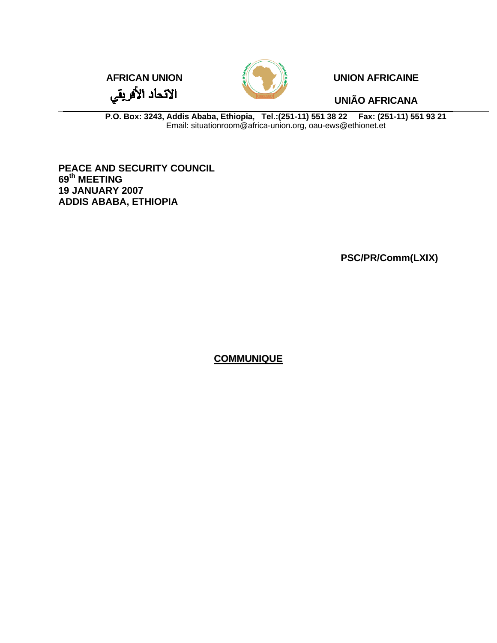الاتحاد الأفريقي



**AFRICAN UNION AFRICAINE** 

**UNIÃO AFRICANA** 

**P.O. Box: 3243, Addis Ababa, Ethiopia, Tel.:(251-11) 551 38 22 Fax: (251-11) 551 93 21**  Email: situationroom@africa-union.org, oau-ews@ethionet.et

**PEACE AND SECURITY COUNCIL 69th MEETING 19 JANUARY 2007 ADDIS ABABA, ETHIOPIA** 

**PSC/PR/Comm(LXIX)** 

**COMMUNIQUE**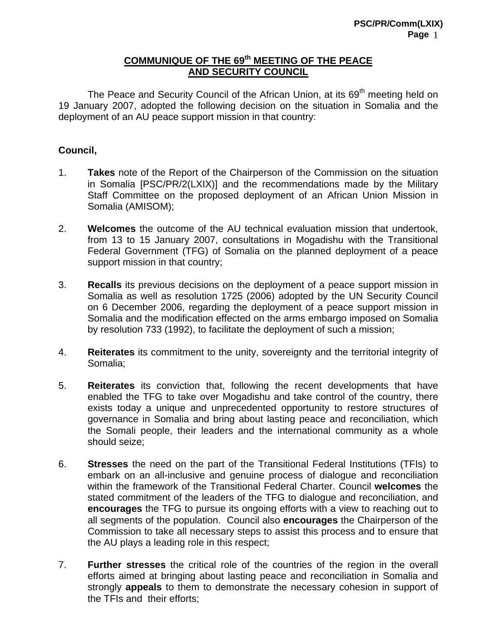## **COMMUNIQUE OF THE 69th MEETING OF THE PEACE AND SECURITY COUNCIL**

The Peace and Security Council of the African Union, at its 69<sup>th</sup> meeting held on 19 January 2007, adopted the following decision on the situation in Somalia and the deployment of an AU peace support mission in that country:

## **Council,**

- 1. **Takes** note of the Report of the Chairperson of the Commission on the situation in Somalia [PSC/PR/2(LXIX)] and the recommendations made by the Military Staff Committee on the proposed deployment of an African Union Mission in Somalia (AMISOM);
- 2. **Welcomes** the outcome of the AU technical evaluation mission that undertook, from 13 to 15 January 2007, consultations in Mogadishu with the Transitional Federal Government (TFG) of Somalia on the planned deployment of a peace support mission in that country;
- 3. **Recalls** its previous decisions on the deployment of a peace support mission in Somalia as well as resolution 1725 (2006) adopted by the UN Security Council on 6 December 2006, regarding the deployment of a peace support mission in Somalia and the modification effected on the arms embargo imposed on Somalia by resolution 733 (1992), to facilitate the deployment of such a mission;
- 4. **Reiterates** its commitment to the unity, sovereignty and the territorial integrity of Somalia;
- 5. **Reiterates** its conviction that, following the recent developments that have enabled the TFG to take over Mogadishu and take control of the country, there exists today a unique and unprecedented opportunity to restore structures of governance in Somalia and bring about lasting peace and reconciliation, which the Somali people, their leaders and the international community as a whole should seize;
- 6. **Stresses** the need on the part of the Transitional Federal Institutions (TFIs) to embark on an all-inclusive and genuine process of dialogue and reconciliation within the framework of the Transitional Federal Charter. Council **welcomes** the stated commitment of the leaders of the TFG to dialogue and reconciliation, and **encourages** the TFG to pursue its ongoing efforts with a view to reaching out to all segments of the population.Council also **encourages** the Chairperson of the Commission to take all necessary steps to assist this process and to ensure that the AU plays a leading role in this respect;
- 7. **Further stresses** the critical role of the countries of the region in the overall efforts aimed at bringing about lasting peace and reconciliation in Somalia and strongly **appeals** to them to demonstrate the necessary cohesion in support of the TFIs and their efforts;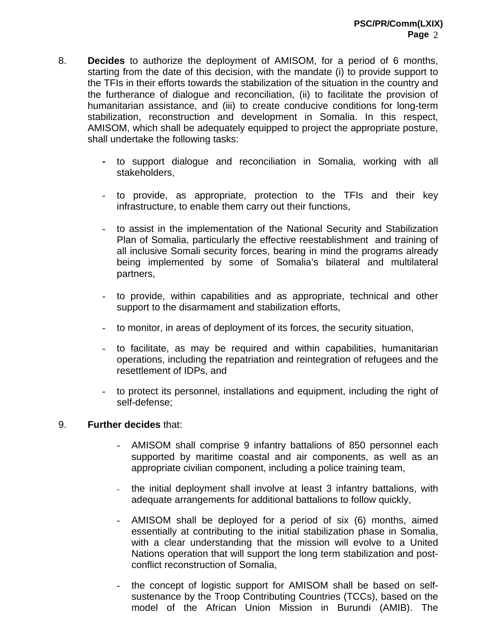- 8. **Decides** to authorize the deployment of AMISOM, for a period of 6 months, starting from the date of this decision, with the mandate (i) to provide support to the TFIs in their efforts towards the stabilization of the situation in the country and the furtherance of dialogue and reconciliation, (ii) to facilitate the provision of humanitarian assistance, and (iii) to create conducive conditions for long-term stabilization, reconstruction and development in Somalia. In this respect, AMISOM, which shall be adequately equipped to project the appropriate posture, shall undertake the following tasks:
	- to support dialogue and reconciliation in Somalia, working with all stakeholders,
	- to provide, as appropriate, protection to the TFIs and their key infrastructure, to enable them carry out their functions,
	- to assist in the implementation of the National Security and Stabilization Plan of Somalia, particularly the effective reestablishment and training of all inclusive Somali security forces, bearing in mind the programs already being implemented by some of Somalia's bilateral and multilateral partners,
	- to provide, within capabilities and as appropriate, technical and other support to the disarmament and stabilization efforts,
	- to monitor, in areas of deployment of its forces, the security situation,
	- to facilitate, as may be required and within capabilities, humanitarian operations, including the repatriation and reintegration of refugees and the resettlement of IDPs, and
	- to protect its personnel, installations and equipment, including the right of self-defense;

## 9. **Further decides** that:

- AMISOM shall comprise 9 infantry battalions of 850 personnel each supported by maritime coastal and air components, as well as an appropriate civilian component, including a police training team,
- the initial deployment shall involve at least 3 infantry battalions, with adequate arrangements for additional battalions to follow quickly,
- AMISOM shall be deployed for a period of six (6) months, aimed essentially at contributing to the initial stabilization phase in Somalia, with a clear understanding that the mission will evolve to a United Nations operation that will support the long term stabilization and postconflict reconstruction of Somalia,
- the concept of logistic support for AMISOM shall be based on selfsustenance by the Troop Contributing Countries (TCCs), based on the model of the African Union Mission in Burundi (AMIB). The